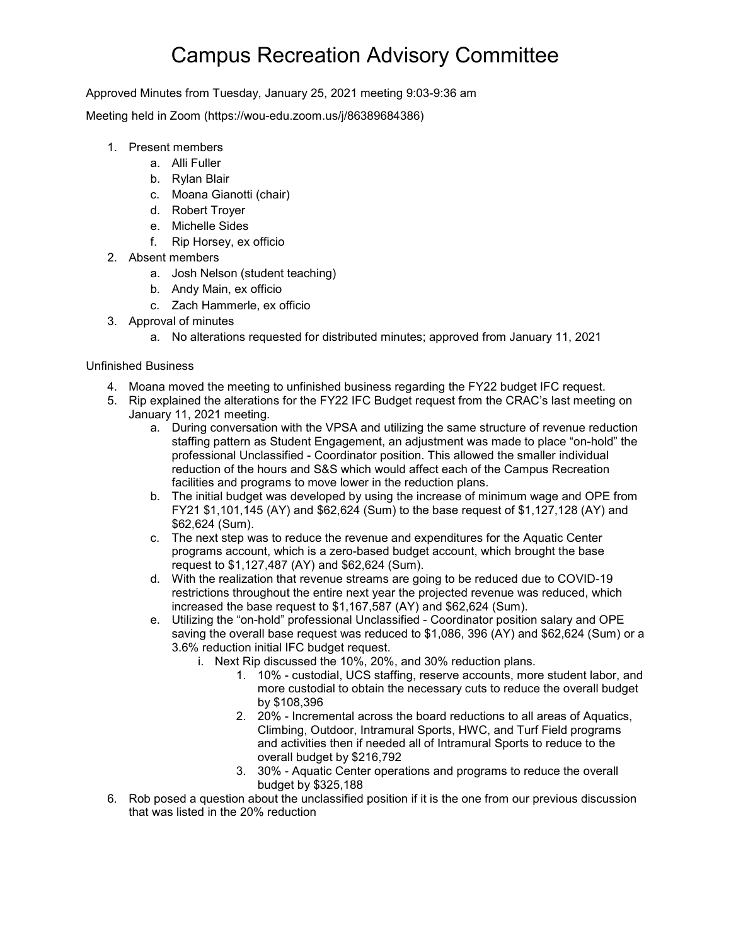## Campus Recreation Advisory Committee

Approved Minutes from Tuesday, January 25, 2021 meeting 9:03-9:36 am

Meeting held in Zoom (https://wou-edu.zoom.us/j/86389684386)

- 1. Present members
	- a. Alli Fuller
	- b. Rylan Blair
	- c. Moana Gianotti (chair)
	- d. Robert Troyer
	- e. Michelle Sides
	- f. Rip Horsey, ex officio
- 2. Absent members
	- a. Josh Nelson (student teaching)
	- b. Andy Main, ex officio
	- c. Zach Hammerle, ex officio
- 3. Approval of minutes
	- a. No alterations requested for distributed minutes; approved from January 11, 2021

## Unfinished Business

- 4. Moana moved the meeting to unfinished business regarding the FY22 budget IFC request.
- 5. Rip explained the alterations for the FY22 IFC Budget request from the CRAC's last meeting on January 11, 2021 meeting.
	- a. During conversation with the VPSA and utilizing the same structure of revenue reduction staffing pattern as Student Engagement, an adjustment was made to place "on-hold" the professional Unclassified - Coordinator position. This allowed the smaller individual reduction of the hours and S&S which would affect each of the Campus Recreation facilities and programs to move lower in the reduction plans.
	- b. The initial budget was developed by using the increase of minimum wage and OPE from FY21 \$1,101,145 (AY) and \$62,624 (Sum) to the base request of \$1,127,128 (AY) and \$62,624 (Sum).
	- c. The next step was to reduce the revenue and expenditures for the Aquatic Center programs account, which is a zero-based budget account, which brought the base request to \$1,127,487 (AY) and \$62,624 (Sum).
	- d. With the realization that revenue streams are going to be reduced due to COVID-19 restrictions throughout the entire next year the projected revenue was reduced, which increased the base request to \$1,167,587 (AY) and \$62,624 (Sum).
	- e. Utilizing the "on-hold" professional Unclassified Coordinator position salary and OPE saving the overall base request was reduced to \$1,086, 396 (AY) and \$62,624 (Sum) or a 3.6% reduction initial IFC budget request.
		- i. Next Rip discussed the 10%, 20%, and 30% reduction plans.
			- 1. 10% custodial, UCS staffing, reserve accounts, more student labor, and more custodial to obtain the necessary cuts to reduce the overall budget by \$108,396
			- 2. 20% Incremental across the board reductions to all areas of Aquatics, Climbing, Outdoor, Intramural Sports, HWC, and Turf Field programs and activities then if needed all of Intramural Sports to reduce to the overall budget by \$216,792
			- 3. 30% Aquatic Center operations and programs to reduce the overall budget by \$325,188
- 6. Rob posed a question about the unclassified position if it is the one from our previous discussion that was listed in the 20% reduction